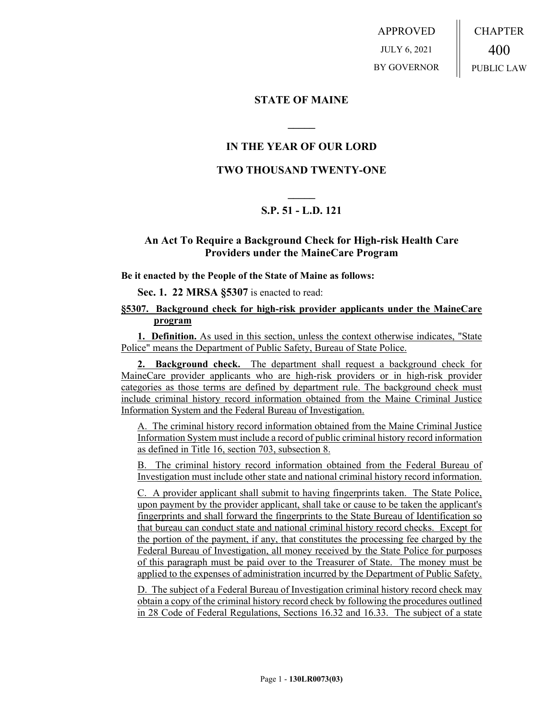APPROVED JULY 6, 2021 BY GOVERNOR CHAPTER 400 PUBLIC LAW

## **STATE OF MAINE**

## **IN THE YEAR OF OUR LORD**

**\_\_\_\_\_**

## **TWO THOUSAND TWENTY-ONE**

# **\_\_\_\_\_ S.P. 51 - L.D. 121**

# **An Act To Require a Background Check for High-risk Health Care Providers under the MaineCare Program**

**Be it enacted by the People of the State of Maine as follows:**

**Sec. 1. 22 MRSA §5307** is enacted to read:

#### **§5307. Background check for high-risk provider applicants under the MaineCare program**

**1. Definition.** As used in this section, unless the context otherwise indicates, "State Police" means the Department of Public Safety, Bureau of State Police.

**2. Background check.** The department shall request a background check for MaineCare provider applicants who are high-risk providers or in high-risk provider categories as those terms are defined by department rule. The background check must include criminal history record information obtained from the Maine Criminal Justice Information System and the Federal Bureau of Investigation.

A. The criminal history record information obtained from the Maine Criminal Justice Information System must include a record of public criminal history record information as defined in Title 16, section 703, subsection 8.

B. The criminal history record information obtained from the Federal Bureau of Investigation must include other state and national criminal history record information.

C. A provider applicant shall submit to having fingerprints taken. The State Police, upon payment by the provider applicant, shall take or cause to be taken the applicant's fingerprints and shall forward the fingerprints to the State Bureau of Identification so that bureau can conduct state and national criminal history record checks. Except for the portion of the payment, if any, that constitutes the processing fee charged by the Federal Bureau of Investigation, all money received by the State Police for purposes of this paragraph must be paid over to the Treasurer of State. The money must be applied to the expenses of administration incurred by the Department of Public Safety.

D. The subject of a Federal Bureau of Investigation criminal history record check may obtain a copy of the criminal history record check by following the procedures outlined in 28 Code of Federal Regulations, Sections 16.32 and 16.33. The subject of a state